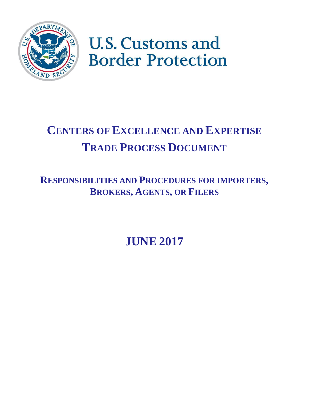

# **U.S. Customs and Border Protection**

## **CENTERS OF EXCELLENCE AND EXPERTISE TRADE PROCESS DOCUMENT**

## **RESPONSIBILITIES AND PROCEDURES FOR IMPORTERS, BROKERS, AGENTS, OR FILERS**

**JUNE 2017**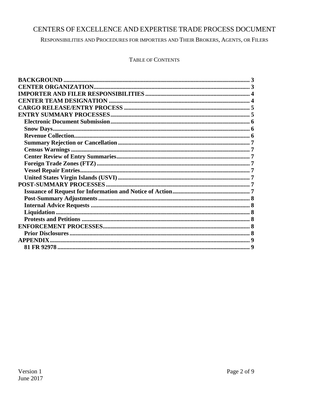#### CENTERS OF EXCELLENCE AND EXPERTISE TRADE PROCESS DOCUMENT

RESPONSIBILITIES AND PROCEDURES FOR IMPORTERS AND THEIR BROKERS, AGENTS, OR FILERS

**TABLE OF CONTENTS**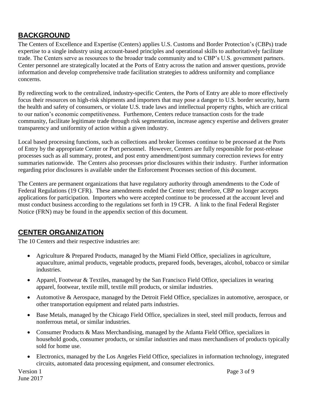## <span id="page-2-0"></span>**BACKGROUND**

The Centers of Excellence and Expertise (Centers) applies U.S. Customs and Border Protection's (CBPs) trade expertise to a single industry using account-based principles and operational skills to authoritatively facilitate trade. The Centers serve as resources to the broader trade community and to CBP's U.S. government partners. Center personnel are strategically located at the Ports of Entry across the nation and answer questions, provide information and develop comprehensive trade facilitation strategies to address uniformity and compliance concerns.

By redirecting work to the centralized, industry-specific Centers, the Ports of Entry are able to more effectively focus their resources on high-risk shipments and importers that may pose a danger to U.S. border security, harm the health and safety of consumers, or violate U.S. trade laws and intellectual property rights, which are critical to our nation's economic competitiveness. Furthemore, Centers reduce transaction costs for the trade community, facilitate legitimate trade through risk segmentation, increase agency expertise and delivers greater transparency and uniformity of action within a given industry.

Local based processing functions, such as collections and broker licenses continue to be processed at the Ports of Entry by the appropriate Center or Port personnel. However, Centers are fully responsible for post-release processes such as all summary, protest, and post entry amendment/post summary correction reviews for entry summaries nationwide. The Centers also processes prior disclosures within their industry. Further information regarding prior disclosures is available under the Enforcement Processes section of this document.

The Centers are permanent organizations that have regulatory authority through amendments to the Code of Federal Regulations (19 CFR). These amendments ended the Center test; therefore, CBP no longer accepts applications for participation. Importers who were accepted continue to be processed at the account level and must conduct business according to the regulations set forth in 19 CFR. A link to the final Federal Register Notice (FRN) may be found in the appendix section of this document.

## <span id="page-2-1"></span>**CENTER ORGANIZATION**

The 10 Centers and their respective industries are:

- Agriculture & Prepared Products, managed by the Miami Field Office, specializes in agriculture, aquaculture, animal products, vegetable products, prepared foods, beverages, alcohol, tobacco or similar industries.
- Apparel, Footwear & Textiles, managed by the San Francisco Field Office, specializes in wearing apparel, footwear, textile mill, textile mill products, or similar industries.
- Automotive & Aerospace, managed by the Detroit Field Office, specializes in automotive, aerospace, or other transportation equipment and related parts industries.
- Base Metals, managed by the Chicago Field Office, specializes in steel, steel mill products, ferrous and nonferrous metal, or similar industries.
- Consumer Products & Mass Merchandising, managed by the Atlanta Field Office, specializes in household goods, consumer products, or similar industries and mass merchandisers of products typically sold for home use.
- Electronics, managed by the Los Angeles Field Office, specializes in information technology, integrated circuits, automated data processing equipment, and consumer electronics.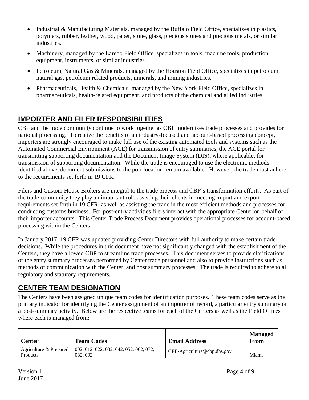- Industrial & Manufacturing Materials, managed by the Buffalo Field Office, specializes in plastics, polymers, rubber, leather, wood, paper, stone, glass, precious stones and precious metals, or similar industries.
- Machinery, managed by the Laredo Field Office, specializes in tools, machine tools, production equipment, instruments, or similar industries.
- Petroleum, Natural Gas & Minerals, managed by the Houston Field Office, specializes in petroleum, natural gas, petroleum related products, minerals, and mining industries.
- Pharmaceuticals, Health & Chemicals, managed by the New York Field Office, specializes in pharmaceuticals, health-related equipment, and products of the chemical and allied industries.

## <span id="page-3-0"></span>**IMPORTER AND FILER RESPONSIBILITIES**

CBP and the trade community continue to work together as CBP modernizes trade processes and provides for national processing. To realize the benefits of an industry-focused and account-based processing concept, importers are strongly encouraged to make full use of the existing automated tools and systems such as the Automated Commercial Environment (ACE) for transmission of entry summaries, the ACE portal for transmitting supporting documentation and the Document Image System (DIS), where applicable, for transmission of supporting documentation. While the trade is encouraged to use the electronic methods identified above, document submissions to the port location remain available. However, the trade must adhere to the requirements set forth in 19 CFR.

Filers and Custom House Brokers are integral to the trade process and CBP's transformation efforts. As part of the trade community they play an important role assisting their clients in meeting import and export requirements set forth in 19 CFR, as well as assisting the trade in the most efficient methods and processes for conducting customs business. For post-entry activities filers interact with the appropriate Center on behalf of their importer accounts. This Center Trade Process Document provides operational processes for account-based processing within the Centers.

In January 2017, 19 CFR was updated providing Center Directors with full authority to make certain trade decisions. While the procedures in this document have not significantly changed with the establishment of the Centers, they have allowed CBP to streamline trade processes. This document serves to provide clarifications of the entry summary processes performed by Center trade personnel and also to provide instructions such as methods of communication with the Center, and post summary processes. The trade is required to adhere to all regulatory and statutory requirements.

## <span id="page-3-1"></span>**CENTER TEAM DESIGNATION**

The Centers have been assigned unique team codes for identification purposes. These team codes serve as the primary indicator for identifying the Center assignment of an importer of record, a particular entry summary or a post-summary activity. Below are the respective teams for each of the Centers as well as the Field Offices where each is managed from:

| <b>Center</b>                      | <b>Team Codes</b>                                  | <b>Email Address</b>          | <b>Managed</b><br>From |
|------------------------------------|----------------------------------------------------|-------------------------------|------------------------|
| Agriculture & Prepared<br>Products | 002, 012, 022, 032, 042, 052, 062, 072,<br>082.092 | $CEE-Agriculture@cbp.dhs.gov$ | Miami                  |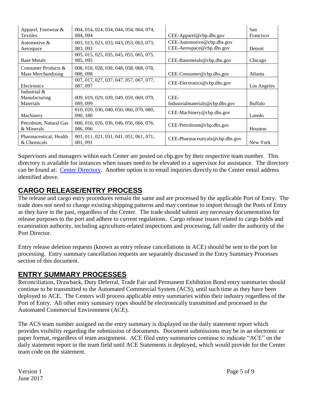| Apparel, Footwear &<br>Textiles            | 004, 014, 024, 034, 044, 054, 064, 074,<br>084, 094 | $CEE$ -Apparel@cbp.dhs.gov                              | San<br>Francisco |
|--------------------------------------------|-----------------------------------------------------|---------------------------------------------------------|------------------|
| Automotive &<br>Aerospace                  | 003, 013, 023, 033, 043, 053, 063, 073,<br>083.093  | CEE-Automotive@cbp.dhs.gov<br>CEE-Aerospace@cbp.dhs.gov | Detroit          |
| <b>Base Metals</b>                         | 005, 015, 025, 035, 045, 055, 065, 075,<br>085, 095 | $CEE-Basemetals@cbp.dhs.gov$                            | Chicago          |
| Consumer Products &<br>Mass Merchandising  | 008, 018, 028, 038, 048, 058, 068, 078,<br>088.098  | $CEE$ -Consumer@cbp.dhs.gov                             | Atlanta          |
| Electronics                                | 007, 017, 027, 037, 047, 057, 067, 077,<br>087, 097 | CEE-Electronics@cbp.dhs.gov                             | Los Angeles      |
| Industrial &<br>Manufacturing<br>Materials | 009, 019, 029, 039, 049, 059, 069, 079,<br>089, 099 | CEE-<br>Industrialmaterials@cbp.dhs.gov                 | <b>Buffalo</b>   |
| Machinery                                  | 010, 020, 030, 040, 050, 060, 070, 080,<br>090, 180 | CEE-Machinery@cbp.dhs.gov                               | Laredo           |
| Petroleum, Natural Gas<br>& Minerals       | 006, 016, 026, 036, 046, 056, 066, 076,<br>086, 096 | CEE-Petroleum@cbp.dhs.gov                               | Houston          |
| Pharmaceutical, Health<br>& Chemicals      | 001, 011, 021, 031, 041, 051, 061, 071,<br>081, 091 | $CEE$ -Pharmaceuticals@cbp.dhs.gov                      | New York         |

Supervisors and managers within each Center are posted on cbp.gov by their respective team number. This directory is available for instances when issues need to be elevated to a supervisor for assistance. The directory can be found at: [Center Directory.](https://www.cbp.gov/trade/centers-excellence-and-expertise-information/cee-directory) Another option is to email inquiries directly to the Center email address identified above.

## <span id="page-4-0"></span>**CARGO RELEASE/ENTRY PROCESS**

The release and cargo entry procedures remain the same and are processed by the applicable Port of Entry. The trade does not need to change existing shipping patterns and may continue to import through the Ports of Entry as they have in the past, regardless of the Center. The trade should submit any necessary documentation for release purposes to the port and adhere to current regulations. Cargo release issues related to cargo holds and examination authority, including agriculture-related inspections and processing, fall under the authority of the Port Director.

Entry release deletion requests (known as entry release cancellations in ACE) should be sent to the port for processing. Entry summary cancellation requests are separately discussed in the Entry Summary Processes section of this document.

## <span id="page-4-1"></span>**ENTRY SUMMARY PROCESSES**

Reconciliation, Drawback, Duty Deferral, Trade Fair and Permanent Exhibition Bond entry summaries should continue to be transmitted to the Automated Commercial System (ACS), until such time as they have been deployed to ACE. The Centers will process applicable entry summaries within their industry regardless of the Port of Entry. All other entry summary types should be electronically transmitted and processed in the Automated Commercial Environment (ACE).

The ACS team number assigned on the entry summary is displayed on the daily statement report which provides visibility regarding the submission of documents. Document submissions may be in an electronic or paper format, regardless of team assignment. ACE filed entry summaries continue to indicate "ACE" on the daily statement report in the team field until ACE Statements is deployed, which would provide for the Center team code on the statement.

June 2017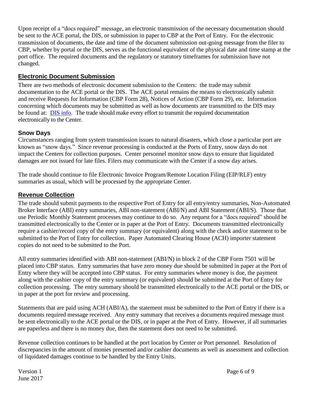Upon receipt of a "docs required" message, an electronic transmission of the necessary documentation should be sent to the ACE portal, the DIS, or submission in paper to CBP at the Port of Entry. For the electronic transmission of documents, the date and time of the document submission out-going message from the filer to CBP, whether by portal or the DIS, serves as the functional equivalent of the physical date and time stamp at the port office. The required documents and the regulatory or statutory timeframes for submission have not changed.

#### <span id="page-5-0"></span>**Electronic Document Submission**

There are two methods of electronic document submission to the Centers: the trade may submit documentation to the ACE portal or the DIS. The ACE portal remains the means to electronically submit and receive Requests for Information (CBP Form 28), Notices of Action (CBP Form 29), etc. Information concerning which documents may be submitted as well as how documents are transmitted to the DIS may be found at: [DIS info.](https://www.cbp.gov/document/forms/dis-implementation-guide) The trade should make every effort to transmit the required documentation electronically to the Center.

#### <span id="page-5-1"></span>**Snow Days**

Circumstances ranging from system transmission issues to natural disasters, which close a particular port are known as "snow days." Since revenue processing is conducted at the Ports of Entry, snow days do not impact the Centers for collection purposes. Center personnel monitor snow days to ensure that liquidated damages are not issued for late files. Filers may communicate with the Center if a snow day arises.

The trade should continue to file Electronic Invoice Program/Remote Location Filing (EIP/RLF) entry summaries as usual, which will be processed by the appropriate Center.

#### <span id="page-5-2"></span>**Revenue Collection**

The trade should submit payments to the respective Port of Entry for all entry/entry summaries, Non-Automated Broker Interface (ABI) entry summaries, ABI non-statement (ABI/N) and ABI Statement (ABI/S). Those that use Periodic Monthly Statement processes may continue to do so. Any request for a "docs required" should be transmitted electronically to the Center or in paper at the Port of Entry. Documents transmitted electronically require a cashier/record copy of the entry summary (or equivalent) along with the check and/or statement to be submitted to the Port of Entry for collection. Paper Automated Clearing House (ACH) importer statement copies do not need to be submitted to the Port.

All entry summaries identified with ABI non-statement (ABI/N) in block 2 of the CBP Form 7501 will be placed into CBP status. Entry summaries that have zero money due should be submitted in paper at the Port of Entry where they will be accepted into CBP status. For entry summaries where money is due, the payment along with the cashier copy of the entry summary (or equivalent) should be submitted at the Port of Entry for collection processing. The entry summary should be transmitted electronically to the ACE portal or the DIS, or in paper at the port for review and processing.

Statements that are paid using ACH (ABI/A), the statement must be submitted to the Port of Entry if there is a documents required message received. Any entry summary that receives a documents required message must be sent electronically to the ACE portal or the DIS, or in paper at the Port of Entry. However, if all summaries are paperless and there is no money due, then the statement does not need to be submitted.

Revenue collection continues to be handled at the port location by Center or Port personnel. Resolution of discrepancies in the amount of monies presented and/or cashier documents as well as assessment and collection of liquidated damages continue to be handled by the Entry Units.

June 2017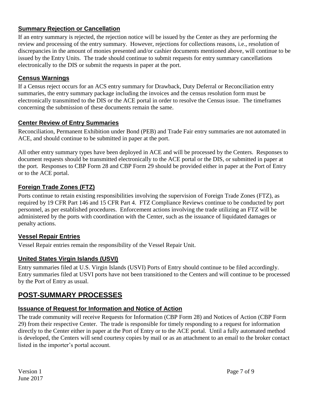#### <span id="page-6-0"></span>**Summary Rejection or Cancellation**

If an entry summary is rejected, the rejection notice will be issued by the Center as they are performing the review and processing of the entry summary. However, rejections for collections reasons, i.e., resolution of discrepancies in the amount of monies presented and/or cashier documents mentioned above, will continue to be issued by the Entry Units. The trade should continue to submit requests for entry summary cancellations electronically to the DIS or submit the requests in paper at the port.

#### <span id="page-6-1"></span>**Census Warnings**

If a Census reject occurs for an ACS entry summary for Drawback, Duty Deferral or Reconciliation entry summaries, the entry summary package including the invoices and the census resolution form must be electronically transmitted to the DIS or the ACE portal in order to resolve the Census issue. The timeframes concerning the submission of these documents remain the same.

#### <span id="page-6-2"></span>**Center Review of Entry Summaries**

Reconciliation, Permanent Exhibition under Bond (PEB) and Trade Fair entry summaries are not automated in ACE, and should continue to be submitted in paper at the port.

All other entry summary types have been deployed in ACE and will be processed by the Centers. Responses to document requests should be transmitted electronically to the ACE portal or the DIS, or submitted in paper at the port. Responses to CBP Form 28 and CBP Form 29 should be provided either in paper at the Port of Entry or to the ACE portal.

#### <span id="page-6-3"></span>**Foreign Trade Zones (FTZ)**

Ports continue to retain existing responsibilities involving the supervision of Foreign Trade Zones (FTZ), as required by 19 CFR Part 146 and 15 CFR Part 4. FTZ Compliance Reviews continue to be conducted by port personnel, as per established procedures. Enforcement actions involving the trade utilizing an FTZ will be administered by the ports with coordination with the Center, such as the issuance of liquidated damages or penalty actions.

#### <span id="page-6-4"></span>**Vessel Repair Entries**

Vessel Repair entries remain the responsibility of the Vessel Repair Unit.

#### <span id="page-6-5"></span>**United States Virgin Islands (USVI)**

Entry summaries filed at U.S. Virgin Islands (USVI) Ports of Entry should continue to be filed accordingly. Entry summaries filed at USVI ports have not been transitioned to the Centers and will continue to be processed by the Port of Entry as usual.

## <span id="page-6-6"></span>**POST-SUMMARY PROCESSES**

#### <span id="page-6-7"></span>**Issuance of Request for Information and Notice of Action**

<span id="page-6-8"></span>The trade community will receive Requests for Information (CBP Form 28) and Notices of Action (CBP Form 29) from their respective Center. The trade is responsible for timely responding to a request for information directly to the Center either in paper at the Port of Entry or to the ACE portal. Until a fully automated method is developed, the Centers will send courtesy copies by mail or as an attachment to an email to the broker contact listed in the importer's portal account.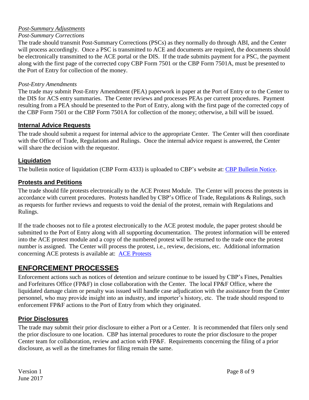#### *Post-Summary Adjustments*

#### *Post-Summary Corrections*

The trade should transmit Post-Summary Corrections (PSCs) as they normally do through ABI, and the Center will process accordingly. Once a PSC is transmitted to ACE and documents are required, the documents should be electronically transmitted to the ACE portal or the DIS. If the trade submits payment for a PSC, the payment along with the first page of the corrected copy CBP Form 7501 or the CBP Form 7501A, must be presented to the Port of Entry for collection of the money.

#### *Post-Entry Amendments*

The trade may submit Post-Entry Amendment (PEA) paperwork in paper at the Port of Entry or to the Center to the DIS for ACS entry summaries. The Center reviews and processes PEAs per current procedures. Payment resulting from a PEA should be presented to the Port of Entry, along with the first page of the corrected copy of the CBP Form 7501 or the CBP Form 7501A for collection of the money; otherwise, a bill will be issued.

#### <span id="page-7-0"></span>**Internal Advice Requests**

The trade should submit a request for internal advice to the appropriate Center. The Center will then coordinate with the Office of Trade, Regulations and Rulings. Once the internal advice request is answered, the Center will share the decision with the requestor.

#### <span id="page-7-1"></span>**Liquidation**

The bulletin notice of liquidation (CBP Form 4333) is uploaded to CBP's website at: [CBP Bulletin Notice.](https://bulletin-notice.cbp.dhs.gov/LBNotice)

#### <span id="page-7-2"></span>**Protests and Petitions**

The trade should file protests electronically to the ACE Protest Module. The Center will process the protests in accordance with current procedures. Protests handled by CBP's Office of Trade, Regulations & Rulings, such as requests for further reviews and requests to void the denial of the protest, remain with Regulations and Rulings.

If the trade chooses not to file a protest electronically to the ACE protest module, the paper protest should be submitted to the Port of Entry along with all supporting documentation. The protest information will be entered into the ACE protest module and a copy of the numbered protest will be returned to the trade once the protest number is assigned. The Center will process the protest, i.e., review, decisions, etc. Additional information concerning ACE protests is available at: [ACE Protests](https://www.cbp.gov/trade/automated/news/protest)

#### <span id="page-7-3"></span>**ENFORCEMENT PROCESSES**

Enforcement actions such as notices of detention and seizure continue to be issued by CBP's Fines, Penalties and Forfeitures Office (FP&F) in close collaboration with the Center. The local FP&F Office, where the liquidated damage claim or penalty was issued will handle case adjudication with the assistance from the Center personnel, who may provide insight into an industry, and importer's history, etc. The trade should respond to enforcement FP&F actions to the Port of Entry from which they originated.

#### <span id="page-7-4"></span>**Prior Disclosures**

The trade may submit their prior disclosure to either a Port or a Center. It is recommended that filers only send the prior disclosure to one location. CBP has internal procedures to route the prior disclosure to the proper Center team for collaboration, review and action with FP&F. Requirements concerning the filing of a prior disclosure, as well as the timeframes for filing remain the same.

June 2017